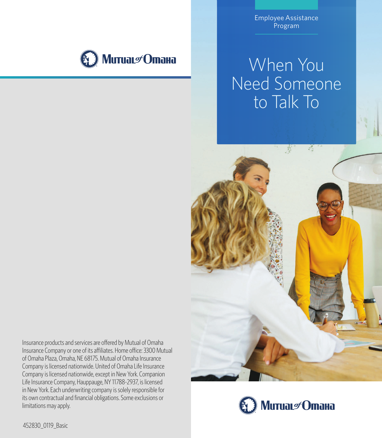

Employee Assistance Program

# When You Need Someone to Talk To



Insurance products and services are offered by Mutual of Omaha Insurance Company or one of its affiliates. Home office: 3300 Mutual of Omaha Plaza, Omaha, NE 68175. Mutual of Omaha Insurance Company is licensed nationwide. United of Omaha Life Insurance Company is licensed nationwide, except in New York. Companion Life Insurance Company, Hauppauge, NY 11788-2937, is licensed in New York. Each underwriting company is solely responsible for its own contractual and financial obligations. Some exclusions or limitations may apply.



452830 0119 Basic